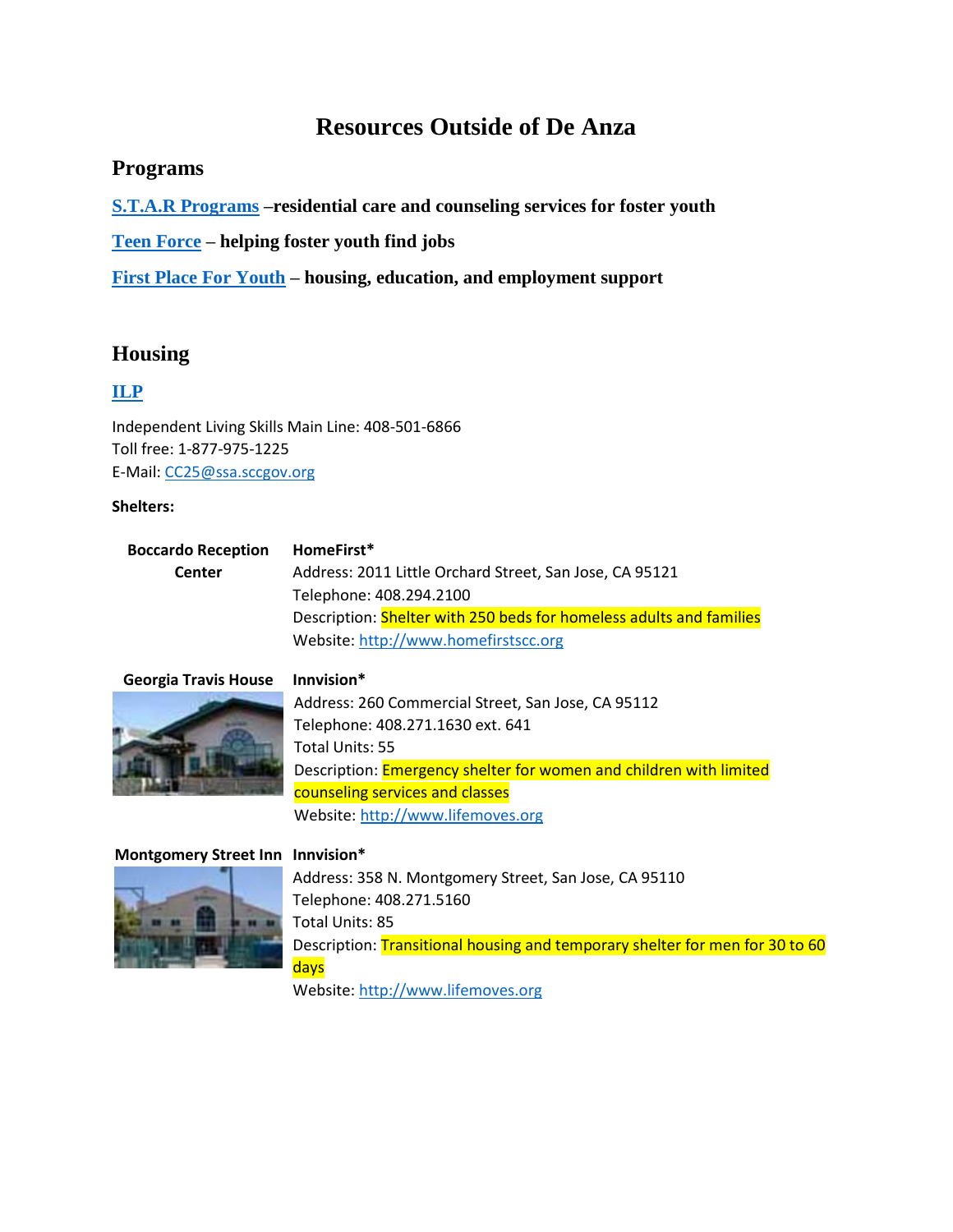# **Resources Outside of De Anza**

# **Programs**

**[S.T.A.R Programs](http://www.starprogramsinc.org/) –residential care and counseling services for foster youth**

**[Teen Force](http://teenforce.org/) – helping foster youth find jobs** 

**[First Place For Youth](http://www.firstplaceforyouth.org/) – housing, education, and employment support** 

# **Housing**

# **[ILP](https://www.sccgov.org/sites/ssa/dfcs/cc25/Pages/housing.aspx)**

Independent Living Skills Main Line: 408-501-6866 Toll free: 1-877-975-1225 E-Mail: [CC25@ssa.sccgov.org](mailto:CC25@ssa.sccgov.org)

### **Shelters:**

#### **Boccardo Reception Center HomeFirst\***  Address: 2011 Little Orchard Street, San Jose, CA 95121 Telephone: 408.294.2100 Description: Shelter with 250 beds for homeless adults and families Website[: http://www.homefirstscc.org](http://santaclaraca.gov/?splash=http%3a%2f%2fwww.homefirstscc.org&____isexternal=true)

# **Georgia Travis House Innvision\***



Address: 260 Commercial Street, San Jose, CA 95112 Telephone: 408.271.1630 ext. 641 Total Units: 55 Description: **Emergency shelter for women and children with limited** counseling services and classes Website: [http://www.lifemoves.org](http://santaclaraca.gov/?splash=http%3a%2f%2fwww.lifemoves.org&____isexternal=true)

## **Montgomery Street Inn Innvision\***



Address: 358 N. Montgomery Street, San Jose, CA 95110 Telephone: 408.271.5160 Total Units: 85 Description: Transitional housing and temporary shelter for men for 30 to 60 days Website[: http://www.lifemoves.org](http://santaclaraca.gov/?splash=http%3a%2f%2fwww.lifemoves.org&____isexternal=true)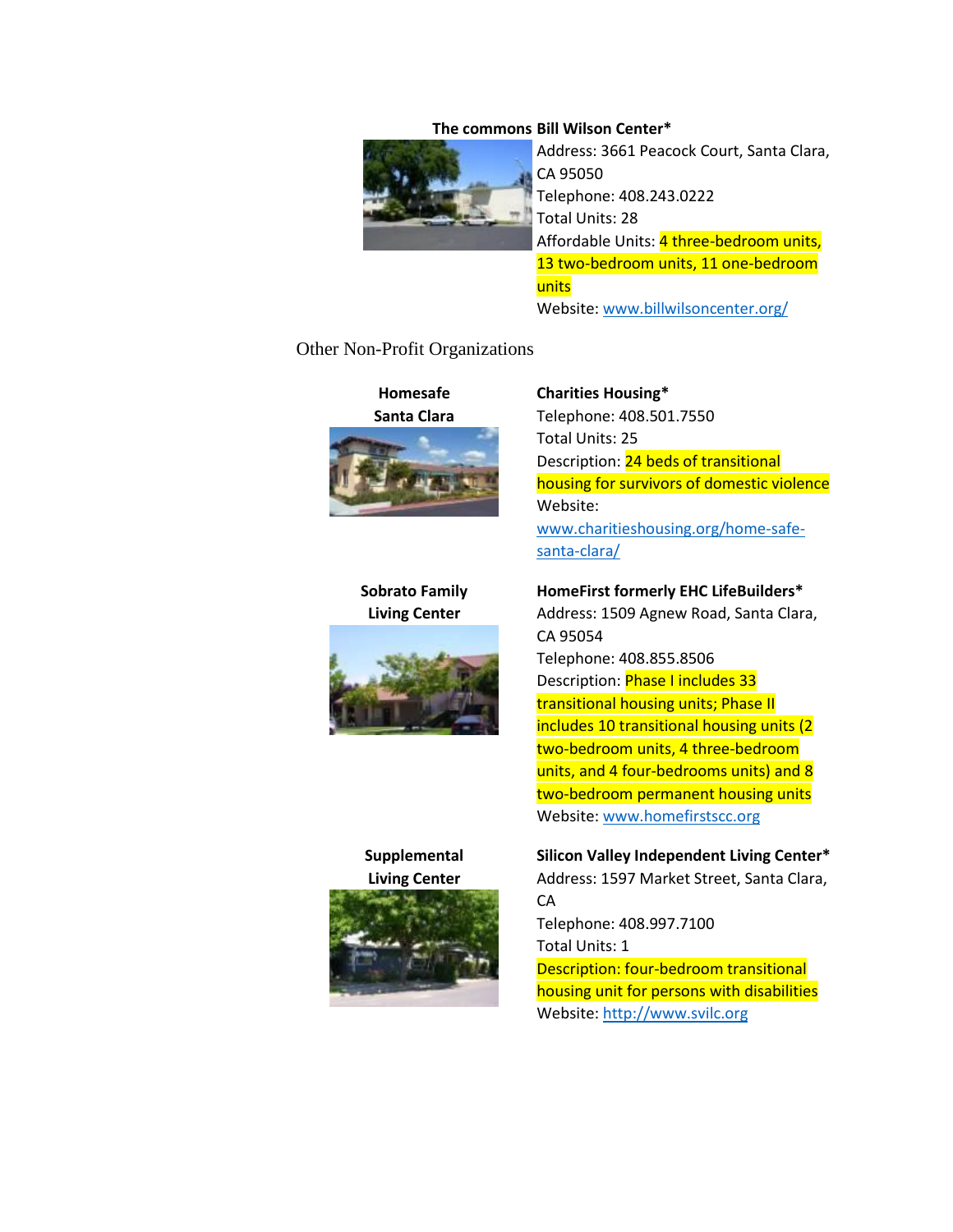#### **The commons Bill Wilson Center\***



Address: 3661 Peacock Court, Santa Clara, CA 95050 Telephone: 408.243.0222 Total Units: 28 Affordable Units: 4 three-bedroom units, 13 two-bedroom units, 11 one-bedroom units Website: [www.billwilsoncenter.org/](http://santaclaraca.gov/?splash=http%3a%2f%2fwww.billwilsoncenter.org%2f&____isexternal=true)

#### Other Non-Profit Organizations



## **Sobrato Family Living Center**



# **Supplemental Living Center**



#### **Charities Housing\***

Telephone: 408.501.7550 Total Units: 25 Description: 24 beds of transitional housing for survivors of domestic violence Website: [www.charitieshousing.org/home-safe](http://santaclaraca.gov/?splash=http%3a%2f%2fwww.charitieshousing.org%2fhome-safe-santa-clara%2f&____isexternal=true)[santa-clara/](http://santaclaraca.gov/?splash=http%3a%2f%2fwww.charitieshousing.org%2fhome-safe-santa-clara%2f&____isexternal=true)

### **HomeFirst formerly EHC LifeBuilders\***

Address: 1509 Agnew Road, Santa Clara, CA 95054 Telephone: 408.855.8506 Description: Phase I includes 33 transitional housing units; Phase II includes 10 transitional housing units (2 two-bedroom units, 4 three-bedroom units, and 4 four-bedrooms units) and 8 two-bedroom permanent housing units Website: [www.homefirstscc.org](http://santaclaraca.gov/?splash=http%3a%2f%2fwww.homefirstscc.org&____isexternal=true)

## **Silicon Valley Independent Living Center\***

Address: 1597 Market Street, Santa Clara, **CA** 

Telephone: 408.997.7100 Total Units: 1 Description: four-bedroom transitional housing unit for persons with disabilities Website: [http://www.svilc.org](http://santaclaraca.gov/?splash=http%3a%2f%2fwww.svilc.org&____isexternal=true)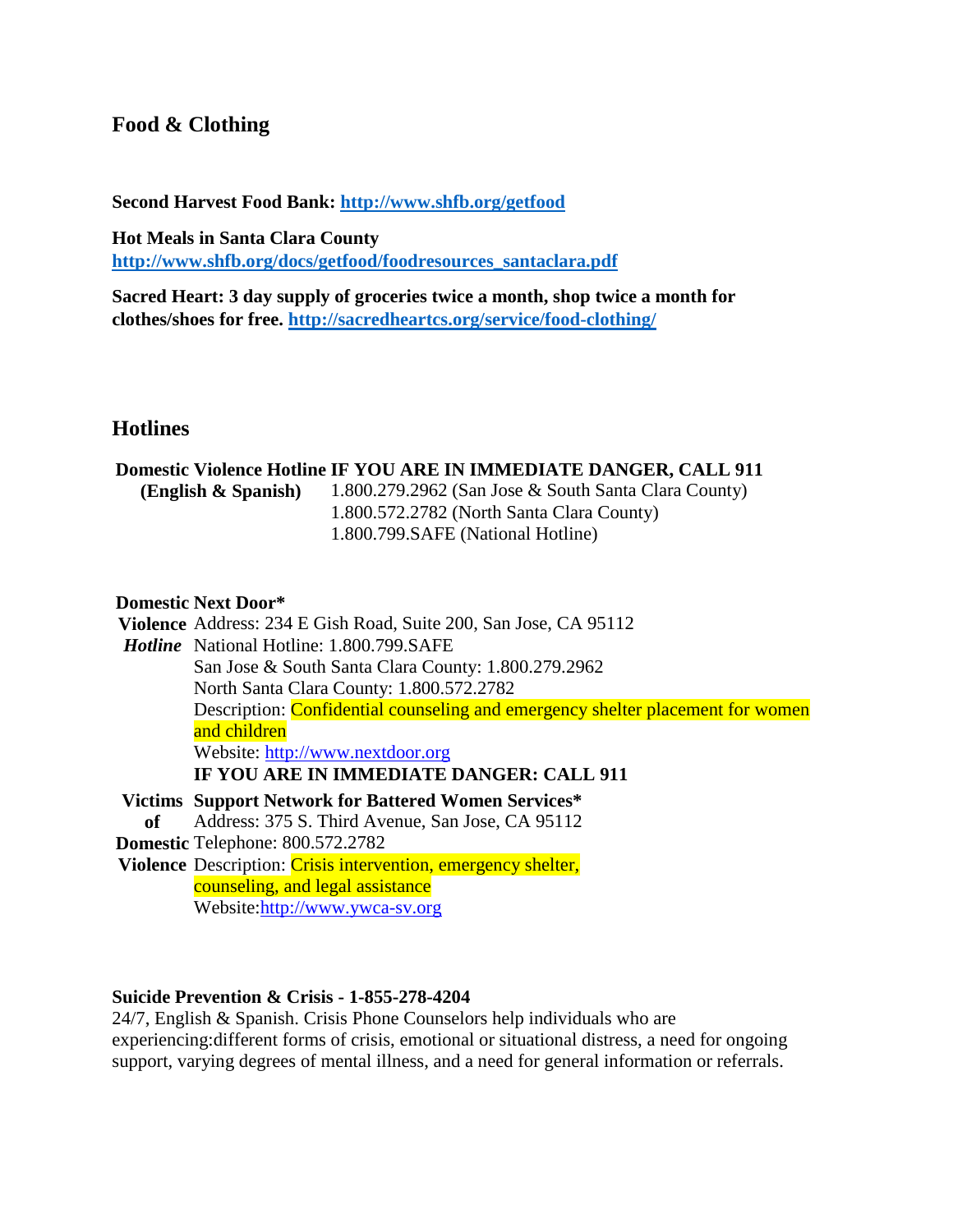# **Food & Clothing**

**Second Harvest Food Bank:<http://www.shfb.org/getfood>**

**Hot Meals in Santa Clara County [http://www.shfb.org/docs/getfood/foodresources\\_santaclara.pdf](http://www.shfb.org/docs/getfood/foodresources_santaclara.pdf)**

**Sacred Heart: 3 day supply of groceries twice a month, shop twice a month for clothes/shoes for free. <http://sacredheartcs.org/service/food-clothing/>**

# **Hotlines**

### **Domestic Violence Hotline IF YOU ARE IN IMMEDIATE DANGER, CALL 911**

**(English & Spanish)** 1.800.279.2962 (San Jose & South Santa Clara County) 1.800.572.2782 (North Santa Clara County) 1.800.799.SAFE (National Hotline)

# **Domestic Next Door\***

**Violence**  Address: 234 E Gish Road, Suite 200, San Jose, CA 95112 *Hotline* National Hotline: 1.800.799.SAFE San Jose & South Santa Clara County: 1.800.279.2962 North Santa Clara County: 1.800.572.2782 Description: Confidential counseling and emergency shelter placement for women and children Website: [http://www.nextdoor.org](http://santaclaraca.gov/?splash=http%3a%2f%2fwww.nextdoor.org&____isexternal=true) **IF YOU ARE IN IMMEDIATE DANGER: CALL 911 Victims Support Network for Battered Women Services\* of Domestic**  Telephone: 800.572.2782 Violence Description: Crisis intervention, emergency shelter, Address: 375 S. Third Avenue, San Jose, CA 95112 counseling, and legal assistance

Website:http://www.ywca-sv.org

# **Suicide Prevention & Crisis - 1-855-278-4204**

24/7, English & Spanish. Crisis Phone Counselors help individuals who are experiencing:different forms of crisis, emotional or situational distress, a need for ongoing support, varying degrees of mental illness, and a need for general information or referrals.